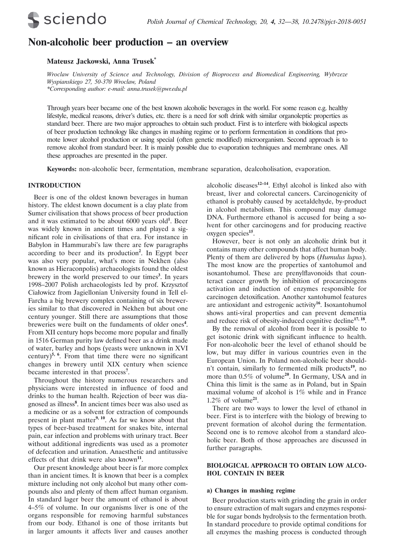

# **Non-alcoholic beer production – an overview**

### **Mateusz Jackowski, Anna Trusek\***

*Wroclaw University of Science and Technology, Division of Bioprocess and Biomedical Engineering, Wybrzeze Wyspianskiego 27, 50-370 Wroclaw, Poland \*Corresponding author: e-mail: anna.trusek@pwr.edu.pl*

Through years beer became one of the best known alcoholic beverages in the world. For some reason e.g. healthy lifestyle, medical reasons, driver's duties, etc. there is a need for soft drink with similar organoleptic properties as standard beer. There are two major approaches to obtain such product. First is to interfere with biological aspects of beer production technology like changes in mashing regime or to perform fermentation in conditions that promote lower alcohol production or using special (often genetic modified) microorganism. Second approach is to remove alcohol from standard beer. It is mainly possible due to evaporation techniques and membrane ones. All these approaches are presented in the paper.

**Keywords:** non-alcoholic beer, fermentation, membrane separation, dealcoholisation, evaporation.

### **INTRODUCTION**

 Beer is one of the oldest known beverages in human history. The eldest known document is a clay plate from Sumer civilisation that shows process of beer production and it was estimated to be about 6000 years old**<sup>1</sup>** . Beer was widely known in ancient times and played a significant role in civilisations of that era. For instance in Babylon in Hammurabi's law there are few paragraphs according to beer and its production**<sup>2</sup>** . In Egypt beer was also very popular, what's more in Nekhen (also known as Hieraconpolis) archaeologists found the oldest brewery in the world preserved to our times**<sup>3</sup>** . In years 1998–2007 Polish archaeologists led by prof. Krzysztof Ciałowicz from Jagiellonian University found in Tell el-Farcha a big brewery complex containing of six breweries similar to that discovered in Nekhen but about one century younger. Still there are assumptions that those breweries were built on the fundaments of older ones**<sup>4</sup>** . From XII century hops become more popular and finally in 1516 German purity law defined beer as a drink made of water, barley and hops (yeasts were unknown in XVI century)<sup>5, 6</sup>. From that time there were no significant changes in brewery until XIX century when science became interested in that process**<sup>7</sup>** .

Throughout the history numerous researchers and physicians were interested in influence of food and drinks to the human health. Rejection of beer was diagnosed as illness**<sup>8</sup>** . In ancient times beer was also used as a medicine or as a solvent for extraction of compounds present in plant matter**9, 10**. As far we know about that types of beer-based treatment for snakes bite, internal pain, ear infection and problems with urinary tract. Beer without additional ingredients was used as a promoter of defecation and urination. Anaesthetic and antitussive effects of that drink were also known**<sup>11</sup>**.

Our present knowledge about beer is far more complex than in ancient times. It is known that beer is a complex mixture including not only alcohol but many other compounds also and plenty of them affect human organism. In standard lager beer the amount of ethanol is about 4–5% of volume. In our organisms liver is one of the organs responsible for removing harmful substances from our body. Ethanol is one of those irritants but in larger amounts it affects liver and causes another alcoholic diseases**12–14**. Ethyl alcohol is linked also with breast, liver and colorectal cancers. Carcinogenicity of ethanol is probably caused by acetaldehyde, by-product in alcohol metabolism. This compound may damage DNA. Furthermore ethanol is accused for being a solvent for other carcinogens and for producing reactive oxygen species**<sup>15</sup>**.

However, beer is not only an alcoholic drink but it contains many other compounds that affect human body. Plenty of them are delivered by hops (*Humulus lupus*). The most know are the properties of xantohumol and isoxantohumol. These are prenylflavonoids that counteract cancer growth by inhibition of procarcinogens activation and induction of enzymes responsible for carcinogen detoxification. Another xantohumol features are antioxidant and estrogenic activity**<sup>16</sup>**. Isoxantohumol shows anti-viral properties and can prevent dementia and reduce risk of obesity-induced cognitive decline**17, 18**.

By the removal of alcohol from beer it is possible to get isotonic drink with significant influence to health. For non-alcoholic beer the level of ethanol should be low, but may differ in various countries even in the European Union. In Poland non-alcoholic beer shouldn't contain, similarly to fermented milk products**<sup>19</sup>**, no more than 0.5% of volume**<sup>20</sup>**. In Germany, USA and in China this limit is the same as in Poland, but in Spain maximal volume of alcohol is 1% while and in France 1.2% of volume**<sup>21</sup>**.

There are two ways to lower the level of ethanol in beer. First is to interfere with the biology of brewing to prevent formation of alcohol during the fermentation. Second one is to remove alcohol from a standard alcoholic beer. Both of those approaches are discussed in further paragraphs.

### **BIOLOGICAL APPROACH TO OBTAIN LOW ALCO-HOL CONTAIN IN BEER**

### **a) Changes in mashing regime**

Beer production starts with grinding the grain in order to ensure extraction of malt sugars and enzymes responsible for sugar bonds hydrolysis to the fermentation broth. In standard procedure to provide optimal conditions for all enzymes the mashing process is conducted through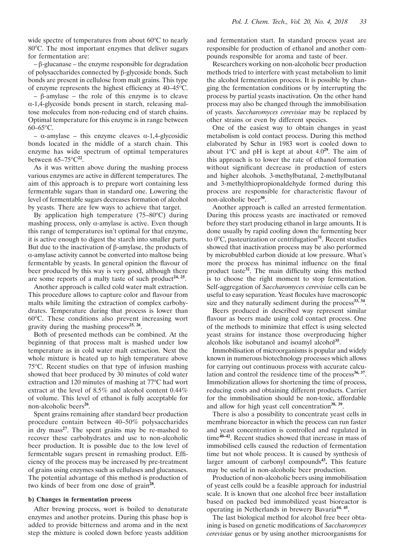wide spectre of temperatures from about  $60^{\circ}$ C to nearly 80°C. The most important enzymes that deliver sugars for fermentation are:

– β-glucanase – the enzyme responsible for degradation of polysaccharides connected by β-glycoside bonds. Such bonds are present in cellulose from malt grains. This type of enzyme represents the highest efficiency at 40–45°C.

– β-amylase – the role of this enzyme is to cleave α-1,4-glycoside bonds present in starch, releasing maltose molecules from non-reducing end of starch chains. Optimal temperature for this enzyme is in range between  $60-65$ °C.

– α-amylase – this enzyme cleaves α-1,4-glycosidic bonds located in the middle of a starch chain. This enzyme has wide spectrum of optimal temperatures between  $65-75^{\circ}C^{22}$ .

As it was written above during the mashing process various enzymes are active in different temperatures. The aim of this approach is to prepare wort containing less fermentable sugars than in standard one. Lowering the level of fermentable sugars decreases formation of alcohol by yeasts. There are few ways to achieve that target.

By application high temperature  $(75-80^{\circ}C)$  during mashing process, only  $\alpha$ -amylase is active. Even though this range of temperatures isn't optimal for that enzyme, it is active enough to digest the starch into smaller parts. But due to the inactivation of β-amylase, the products of α-amylase activity cannot be converted into maltose being fermentable by yeasts. In general opinion the flavour of beer produced by this way is very good, although there are some reports of a malty taste of such product**24, 25**.

Another approach is called cold water malt extraction. This procedure allows to capture color and flavour from malts while limiting the extraction of complex carbohydrates. Temperature during that process is lower than 60°C. These conditions also prevent increasing wort gravity during the mashing process**25, 26**.

Both of presented methods can be combined. At the beginning of that process malt is mashed under low temperature as in cold water malt extraction. Next the whole mixture is heated up to high temperature above 75°C. Recent studies on that type of infusion mashing showed that beer produced by 30 minutes of cold water extraction and 120 minutes of mashing at 77°C had wort extract at the level of 8.5% and alcohol content 0.44% of volume. This level of ethanol is fully acceptable for non-alcoholic beers**<sup>26</sup>**.

Spent grains remaining after standard beer production procedure contain between 40–50% polysaccharides in dry mass**<sup>27</sup>**. The spent grains may be re-mashed to recover these carbohydrates and use to non-alcoholic beer production. It is possible due to the low level of fermentable sugars present in remashing product. Efficiency of the process may be increased by pre-treatment of grains using enzymes such as cellulases and glucanases. The potential advantage of this method is production of two kinds of beer from one dose of grain**<sup>28</sup>**.

#### **b) Changes in fermentation process**

After brewing process, wort is boiled to denaturate enzymes and another proteins. During this phase hop is added to provide bitterness and aroma and in the next step the mixture is cooled down before yeasts addition

and fermentation start. In standard process yeast are responsible for production of ethanol and another compounds responsible for aroma and taste of beer.

Researchers working on non-alcoholic beer production methods tried to interfere with yeast metabolism to limit the alcohol fermentation process. It is possible by changing the fermentation conditions or by interrupting the process by partial yeasts inactivation. On the other hand process may also be changed through the immobilisation of yeasts. *Saccharomyces cerevisiae* may be replaced by other strains or even by different species.

One of the easiest way to obtain changes in yeast metabolism is cold contact process. During this method elaborated by Schur in 1983 wort is cooled down to about  $1^{\circ}$ C and pH is kept at about  $4.0^{29}$ . The aim of this approach is to lower the rate of ethanol formation without significant decrease in production of esters and higher alcohols. 3-methylbutanal, 2-methylbutanal and 3-methylthiopropionaldehyde formed during this process are responsible for characteristic flavour of non-alcoholic beer**<sup>30</sup>**.

Another approach is called an arrested fermentation. During this process yeasts are inactivated or removed before they start producing ethanol in large amounts. It is done usually by rapid cooling down the fermenting beer to 0°C, pasteurization or centrifugation<sup>31</sup>. Recent studies showed that inactivation process may be also performed by microbubbled carbon dioxide at low pressure. What's more the process has minimal influence on the final product taste<sup>32</sup>. The main difficulty using this method is to choose the right moment to stop fermentation. Self-aggregation of *Saccharomyces cerevisiae* cells can be useful to easy separation. Yeast flocules have macroscopic size and they naturally sediment during the process<sup>33, 34</sup>.

Beers produced in described way represent similar flavour as beers made using cold contact process. One of the methods to minimize that effect is using selected yeast strains for instance those overproducing higher alcohols like isobutanol and isoamyl alcohol**<sup>35</sup>**.

Immobilisation of microorganisms is popular and widely known in numerous biotechnology processes which allows for carrying out continuous process with accurate calculation and control the residence time of the process**36, 37**. Immobilization allows for shortening the time of process, reducing costs and obtaining different products. Carrier for the immobilisation should be non-toxic, affordable and allow for high yeast cell concentration**38, 39**.

There is also a possibility to concentrate yeast cells in membrane bioreactor in which the process can run faster and yeast concentration is controlled and regulated in time**40–42**. Recent studies showed that increase in mass of immobilised cells caused the reduction of fermentation time but not whole process. It is caused by synthesis of larger amount of carbonyl compounds**43.** This feature may be useful in non-alcoholic beer production.

Production of non-alcoholic beers using immobilisation of yeast cells could be a feasible approach for industrial scale. It is known that one alcohol free beer installation based on packed bed immobilized yeast bioreactor is operating in Netherlands in brewery Bavaria**44, 45**.

The last biological method for alcohol free beer obtaining is based on genetic modifications of *Saccharomyces cerevisiae* genus or by using another microorganisms for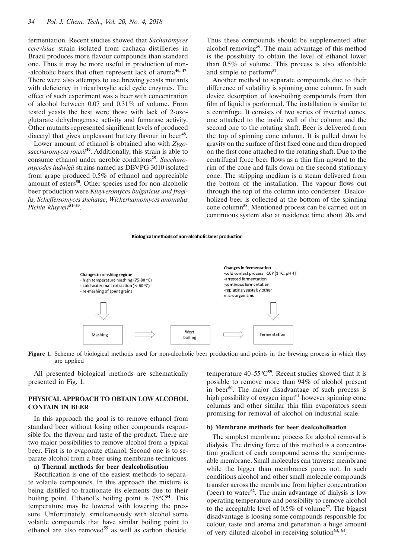fermentation. Recent studies showed that *Sacharomyces cerevisiae* strain isolated from cachaça distilleries in Brazil produces more flavour compounds than standard one. Thus it may be more useful in production of non- -alcoholic beers that often represent lack of aroma**46, 47**. There were also attempts to use brewing yeasts mutants with deficiency in tricarboxylic acid cycle enzymes. The effect of such experiment was a beer with concentration of alcohol between 0.07 and 0.31% of volume. From tested yeasts the best were those with lack of 2-oxoglutarate dehydrogenase activity and fumarase activity. Other mutants represented significant levels of produced diacetyl that gives unpleasant buttery flavour in beer<sup>48</sup>.

Lower amount of ethanol is obtained also with *Zygosaccharomyces rouxii***<sup>49</sup>**. Additionally, this strain is able to consume ethanol under aerobic conditions**<sup>25</sup>**. *Saccharomycodes ludwigii* strains named as DBVPG 3010 isolated from grape produced 0.5% of ethanol and appreciable amount of esters**<sup>50</sup>**. Other species used for non-alcoholic beer production were *Kluyveromyces bulgaricus and fragilis, Scheffersomyces shehatae*, *Wickerhamomyces anomalus Pichia kluyveri***51–53**.

Thus these compounds should be supplemented after alcohol removing**<sup>56</sup>**. The main advantage of this method is the possibility to obtain the level of ethanol lower than 0.5% of volume. This process is also affordable and simple to perform**<sup>57</sup>**.

Another method to separate compounds due to their difference of volatility is spinning cone column. In such device desorption of low-boiling compounds from thin film of liquid is performed. The installation is similar to a centrifuge. It consists of two series of inverted cones, one attached to the inside wall of the column and the second one to the rotating shaft. Beer is delivered from the top of spinning cone column. It is pulled down by gravity on the surface of first fixed cone and then dropped on the first cone attached to the rotating shaft. Due to the centrifugal force beer flows as a thin film upward to the rim of the cone and fails down on the second stationary cone. The stripping medium is a steam delivered from the bottom of the installation. The vapour flows out through the top of the column into condenser. Dealcoholized beer is collected at the bottom of the spinning cone column**<sup>58</sup>**. Mentioned process can be carried out in continuous system also at residence time about 20s and

#### Biological methods of non-alcoholic beer production



Figure 1. Scheme of biological methods used for non-alcoholic beer production and points in the brewing process in which they are applied

All presented biological methods are schematically presented in Fig. 1.

## **PHYSICAL APPROACH TO OBTAIN LOW ALCOHOL CONTAIN IN BEER**

In this approach the goal is to remove ethanol from standard beer without losing other compounds responsible for the flavour and taste of the product. There are two major possibilities to remove alcohol from a typical beer. First is to evaporate ethanol. Second one is to separate alcohol from a beer using membrane techniques.

## **a) Thermal methods for beer dealcoholisation**

Rectification is one of the easiest methods to separate volatile compounds. In this approach the mixture is being distilled to fractionate its elements due to their boiling point. Ethanol's boiling point is 78°C<sup>54</sup>. This temperature may be lowered with lowering the pressure. Unfortunately, simultaneously with alcohol some volatile compounds that have similar boiling point to ethanol are also removed**<sup>55</sup>** as well as carbon dioxide.

temperature 40–55°C<sup>59</sup>. Recent studies showed that it is possible to remove more than 94% of alcohol present in beer**<sup>60</sup>**. The major disadvantage of such process is high possibility of oxygen input $61$  however spinning cone columns and other similar thin film evaporators seem promising for removal of alcohol on industrial scale.

#### **b) Membrane methods for beer dealcoholisation**

The simplest membrane process for alcohol removal is dialysis. The driving force of this method is a concentration gradient of each compound across the semipermeable membrane. Small molecules can traverse membrane while the bigger than membranes pores not. In such conditions alcohol and other small molecule compounds transfer across the membrane from higher concentration (beer) to water**<sup>62</sup>**. The main advantage of dialysis is low operating temperature and possibility to remove alcohol to the acceptable level of 0.5% of volume**<sup>57</sup>**. The biggest disadvantage is loosing some compounds responsible for colour, taste and aroma and generation a huge amount of very diluted alcohol in receiving solution**63, 64**.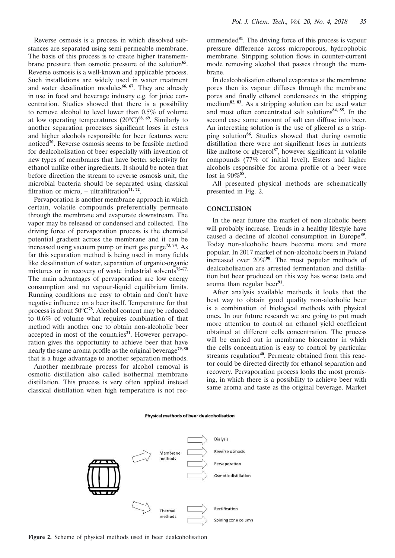Reverse osmosis is a process in which dissolved substances are separated using semi permeable membrane. The basis of this process is to create higher transmembrane pressure than osmotic pressure of the solution**<sup>65</sup>**. Reverse osmosis is a well-known and applicable process. Such installations are widely used in water treatment and water desalination modules<sup>66, 67</sup>. They are already in use in food and beverage industry e.g. for juice concentration. Studies showed that there is a possibility to remove alcohol to level lower than 0.5% of volume at low operating temperatures (20<sup>o</sup>C)<sup>68, 69</sup>. Similarly to another separation processes significant loses in esters and higher alcohols responsible for beer features were noticed**<sup>70</sup>**. Reverse osmosis seems to be feasible method for dealcoholisation of beer especially with invention of new types of membranes that have better selectivity for ethanol unlike other ingredients. It should be noten that before direction the stream to reverse osmosis unit, the microbial bacteria should be separated using classical filtration or micro,  $-$  ultrafiltration<sup>71, 72</sup>.

Pervaporation is another membrane approach in which certain, volatile compounds preferentially permeate through the membrane and evaporate downstream. The vapor may be released or condensed and collected. The driving force of pervaporation process is the chemical potential gradient across the membrane and it can be increased using vacuum pump or inert gas purge**73, 74**. As far this separation method is being used in many fields like desalination of water, separation of organic-organic mixtures or in recovery of waste industrial solvents**75–77**. The main advantages of pervaporation are low energy consumption and no vapour-liquid equilibrium limits. Running conditions are easy to obtain and don't have negative influence on a beer itself. Temperature for that process is about  $50^{\circ}C^{78}$ . Alcohol content may be reduced to 0.6% of volume what requires combination of that method with another one to obtain non-alcoholic beer accepted in most of the countries<sup>21</sup>. However pervaporation gives the opportunity to achieve beer that have nearly the same aroma profile as the original beverage<sup>79, 80</sup> that is a huge advantage to another separation methods.

Another membrane process for alcohol removal is osmotic distillation also called isothermal membrane distillation. This process is very often applied instead classical distillation when high temperature is not recommended**<sup>81</sup>**. The driving force of this process is vapour pressure difference across microporous, hydrophobic membrane. Stripping solution flows in counter-current mode removing alcohol that passes through the membrane.

In dealcoholisation ethanol evaporates at the membrane pores then its vapour diffuses through the membrane pores and finally ethanol condensates in the stripping medium**82, 83**. As a stripping solution can be used water and most often concentrated salt solutions**84, 85**. In the second case some amount of salt can diffuse into beer. An interesting solution is the use of glicerol as a stripping solution**<sup>86</sup>**. Studies showed that during osmotic distillation there were not significant loses in nutrients like maltose or glycerol<sup>87</sup>, however significant in volatile compounds (77% of initial level). Esters and higher alcohols responsible for aroma profile of a beer were lost in 90%**<sup>88</sup>**.

All presented physical methods are schematically presented in Fig. 2.

### **CONCLUSION**

In the near future the market of non-alcoholic beers will probably increase. Trends in a healthy lifestyle have caused a decline of alcohol consumption in Europe**<sup>89</sup>**. Today non-alcoholic beers become more and more popular. In 2017 market of non-alcoholic beers in Poland increased over 20%**<sup>90</sup>**. The most popular methods of dealcoholisation are arrested fermentation and distillation but beer produced on this way has worse taste and aroma than regular beer**<sup>91</sup>**.

After analysis available methods it looks that the best way to obtain good quality non-alcoholic beer is a combination of biological methods with physical ones. In our future research we are going to put much more attention to control an ethanol vield coefficient obtained at different cells concentration. The process will be carried out in membrane bioreactor in which the cells concentration is easy to control by particular streams regulation<sup>40</sup>. Permeate obtained from this reactor could be directed directly for ethanol separation and recovery. Pervaporation process looks the most promising, in which there is a possibility to achieve beer with same aroma and taste as the original beverage. Market



#### Physical methods of beer dealcoholisation

**Figure 2.** Scheme of physical methods used in beer dealcoholisation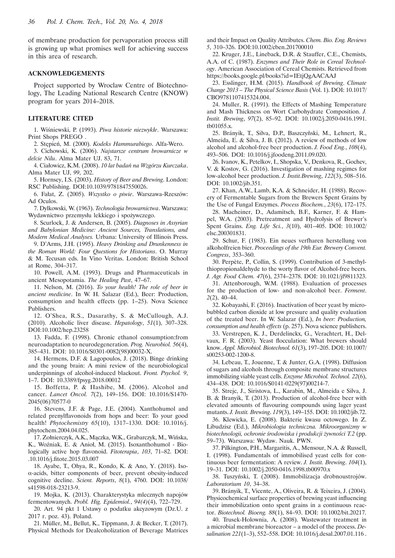of membrane production for pervaporation process still is growing up what promises well for achieving success in this area of research.

#### **ACKNOWLEDGEMENTS**

Project supported by Wroclaw Centre of Biotechnology, The Leading National Research Centre (KNOW) program for years 2014–2018.

#### **LITERATURE CITED**

1. Wiśniewski, P. (1993). *Piwa historie niezwykłe*. Warszawa: Print Shops PREGO .

2. Stępień, M. (2000). *Kodeks Hammurabiego*. Alfa-Wero.

3. Cichowski, K. (2006). *Najstarsze centrum browarnicze w delcie Nilu*. Alma Mater UJ. 83, 71.

4. Ciałowicz, K.M. (2008). *10 lat badań na Wzgórzu Kurczaka*. Alma Mater UJ, *99*, 202.

5. Hornsey, I.S. (2003). *History of Beer and Brewing*. London: RSC Publishing. DOI:10.1039/9781847550026.

6. Fałat, Z. (2005). *Wszystko o piwie*. Warszawa-Rzeszów: Ad Oculos.

7. Dylkowski, W. (1963). *Technologia browarnictwa*. Warszawa: Wydawnictwo przemysłu lekkiego i spożywczego.

8. Scurlock, J. & Andersen, B. (2005). *Diagnoses in Assyrian and Babylonian Medicine: Ancient Sources, Translations, and Modern Medical Analyses.* Urbana: University of Illinois Press.

9. D'Arms, J.H. (1995). *Heavy Drinking and Drunkenness in the Roman World: Four Questions for Historians*. O. Murray & M. Tecusan eds. In Vino Veritas. London: British School at Rome, 304–317.

10. Powell, A.M. (1993). Drugs and Pharmaceuticals in ancient Mesopotamia. *The Healing Past*, 47–67.

11. Nelson, M. (2016). *To your health! The role of beer in ancient medicine*. In W. H. Salazar (Ed.), Beer: Production, consumption and health effects (pp. 1–25). Nova Science Publishers.

12. O'Shea, R.S., Dasarathy, S. & McCullough, A.J. (2010). Alcoholic liver disease. *Hepatology*, *51*(1), 307–328. DOI:10.1002/hep.23258

13. Fadda, F. (1998). Chronic ethanol consumption:from neuroadaptation to neurodegeneration. *Prog. Neurobiol. 56*(4), 385–431. DOI: 10.1016/S0301-0082(98)00032-X.

14. Hermens, D.F. & Lagopoulos, J. (2018). Binge drinking and the young brain: A mini review of the neurobiological underpinnings of alcohol-induced blackout. *Front. Psychol. 9*, 1–7. DOI: 10.3389/fpsyg.2018.00012

15. Boffetta, P. & Hashibe, M. (2006). Alcohol and cancer. *Lancet Oncol. 7*(2), 149–156. DOI: 10.1016/S1470- 2045(06)70577-0

16. Stevens, J.F. & Page, J.E. (2004). Xanthohumol and related prenylflavonoids from hops and beer: To your good health! *Phytochemistry 65*(10), 1317–1330. DOI: 10.1016/j. phytochem.2004.04.025.

17. Zołnierczyk, A.K., Mączka, W.K., Grabarczyk, M., Wińska, K., Woźniak, E. & Anioł, M. (2015). Isoxanthohumol - Biologically active hop flavonoid. *Fitoterapia*, 103, 71–82. DOI: .10.1016/j.fi tote.2015.03.007

18. Ayabe, T., Ohya, R., Kondo, K. & Ano, Y. (2018). Isoα-acids, bitter components of beer, prevent obesity-induced cognitive decline. *Scient. Reports*, *8*(1), 4760. DOI: 10.1038/ s41598-018-23213-9.

19. Mojka, K. (2013). Charakterystyka mlecznych napojów fermentowanych. *Probl. Hig. Epidemiol.*, *94(4)*(4), 722–729.

20. Art. 94 pkt 1 Ustawy o podatku akcyzowym (Dz.U. z 2017 r. poz. 43). Poland.

21. Müller, M., Bellut, K., Tippmann, J. & Becker, T. (2017). Physical Methods for Dealcoholization of Beverage Matrices and their Impact on Quality Attributes. *Chem. Bio. Eng. Reviews 5*, 310–326. DOI:10.1002/cben.201700010

22. Kruger, J.E., Lineback, D.R. & Stauffer, C.E., Chemists, A.A. of C. (1987). *Enzymes and Their Role in Cereal Technology*. American Association of Cereal Chemists. Retrieved from https://books.google.pl/books?id=IEtjQgAACAAJ

23. Esslinger, H.M. (2015). *Handbook of Brewing*. *Climate Change 2013 – The Physical Science Basis* (Vol. 1). DOI: 10.1017/ CBO9781107415324.004.

24. Muller, R. (1991). the Effects of Mashing Temperature and Mash Thickness on Wort Carbohydrate Composition. *J. Instit. Brewing*, *97*(2), 85–92. DOI: 10.1002/j.2050-0416.1991. tb01055.x.

25. Brányik, T., Silva, D.P., Baszczyňski, M., Lehnert, R., Almeida, E. & Silva, J. B. (2012). A review of methods of low alcohol and alcohol-free beer production. *J. Food Eng.*, *108*(4), 493–506. DOI: 10.1016/j.jfoodeng.2011.09.020.

26. Ivanov, K., Petelkov, I., Shopska, V., Denkova, R., Gochev, V. & Kostov, G. (2016). Investigation of mashing regimes for low-alcohol beer production. *J. Instit.Brewing*, *122*(3), 508–516. DOI: 10.1002/jib.351.

27. Khan, A.W., Lamb, K.A. & Schneider, H. (1988). Recovery of Fermentable Sugars from the Brewers Spent Grains by the Use of Fungal Enzymes. *Process Biochem.*, *23*(6), 172–175.

28. Macheiner, D., Adamitsch, B.F., Karner, F. & Hampel, W.A. (2003). Pretreatment and Hydrolysis of Brewer's Spent Grains. *Eng. Life Sci.*, *3*(10), 401–405. DOI: 10.1002/ elsc.200301831.

29. Schur, F. (1983). Ein neues verfharen herstellung von alkoholfreien bier. *Proceedings of the 19th Eur. Brewery Convent. Congress*, 353–360.

30. Perpète, P., Collin, S. (1999). Contribution of 3-methylthiopropionaldehyde to the worty flavor of Alcohol-free beers. *J. Agr. Food Chem. 47*(6), 2374–2378. DOI: 10.1021/jf9811323.

31. Attenborough, W.M. (1988). Evaluation of processes for the production of low- and non-alcohol beer. *Ferment*. *2*(2), 40–44.

32. Kobayashi, F. (2016). Inactivation of beer yeast by microbubbled carbon dioxide at low pressure and quality evaluation of the treated beer. In W. Salazar (Ed.), *In beer: Production, consumption and health effects* (p. 257). Nova science publishers.

33. Verstrepen, K. J., Derdelinckx, G., Verachtert, H., Delvaux, F. R. (2003). Yeast flocculation: What brewers should know. *Appl. Microbiol. Biotechnol. 61*(3), 197–205. DOI: 10.1007/ s00253-002-1200-8.

34. Lebeau, T., Jouenne, T. & Junter, G.A. (1998). Diffusion of sugars and alcohols through composite membrane structures immobilizing viable yeast cells. *Enzyme Microbiol. Technol. 22*(6), 434–438. DOI: 10.1016/S0141-0229(97)00214-7.

35. Strejc, J., Siristova, L., Karabin, M., Almeida e Silva, J. B. & Branyik, T. (2013). Production of alcohol-free beer with elevated amounts of flavouring compounds using lager yeast mutants. *J. Instit. Brewing*. *119*(3), 149–155. DOI: 10.1002/jib.72.

36. Klewicka, E. (2008). Bakterie kwasu octowego. In Z. Libudzisz (Ed.), *Mikrobiologia techniczna. Mikroorganizmy w biotechnologii, ochronie środowiska i produkcji żywności T.2* (pp. 59–73). Warszawa: Wydaw. Nauk. PWN.

37. Pilkington, P.H., Margaritis, A., Mensour, N.A. & Russell, I. (1998). Fundamentals of immobilised yeast cells for continuous beer fermentation: A review. *J. Instit. Brewing*. *104*(1), 19–31. DOI: 10.1002/j.2050-0416.1998.tb00970.x

38. Tuszyński, T. (2008). Immobilizacja drobnoustrojów. *Laboratorium 10*, 34–38.

39. Brányik, T., Vicente, A., Oliveira, R. & Teixeira, J. (2004). Physicochemical surface properties of brewing yeast influencing their immobilization onto spent grains in a continuous reactor. *Biotechnol. Bioeng. 88*(1), 84–93. DOI: 10.1002/bit.20217.

40. Trusek-Holownia, A. (2008). Wastewater treatment in a microbial membrane bioreactor – a model of the process. *Desalination 221*(1–3), 552–558. DOI: 10.1016/j.desal.2007.01.116 .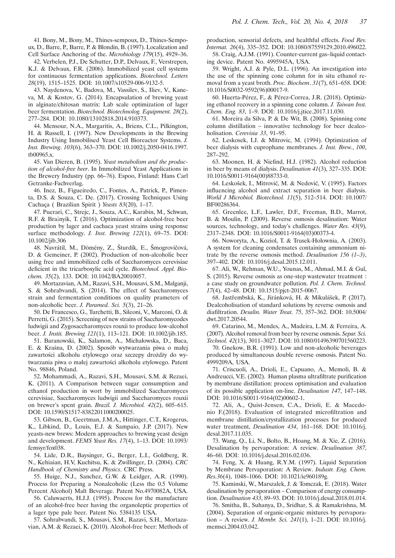41. Bony, M., Bony, M., Thines-sempoux, D., Thines-Sempoux, D., Barre, P., Barre, P. & Blondin, B. (1997). Localization and Cell Surface Anchoring of the. *Microbiology 179*(15), 4929–36.

42. Verbelen, P.J., De Schutter, D.P., Delvaux, F., Verstrepen, K.J. & Delvaux, F.R. (2006). Immobilized yeast cell systems for continuous fermentation applications. *Biotechnol. Letters 28*(19), 1515–1525. DOI: 10.1007/s10529-006-9132-5.

43. Naydenova, V., Badova, M., Vassilev, S., Iliev, V., Kaneva, M. & Kostov, G. (2014). Encapsulation of brewing yeast in alginate/chitosan matrix: Lab scale optimization of lager beer fermentation. *Biotechnol. Biotechnolog. Equipment. 28*(2), 277–284. DOI: 10.1080/13102818.2014.910373.

44. Mensour, N.A., Margaritis, A., Briens, C.L., Pilkington, H. & Russell, I. (1997). New Developments in the Brewing Industry Using Inmobilised Yeast Cell Bioreactor Systems. *J. Inst. Brewing*. *103*(6), 363–370. DOI: 10.1002/j.2050-0416.1997. tb00965.x.

45. Van Dieren, B. (1995). *Yeast metabolism and the production of alcohol-free beer*. In Immobilized Yeast Applications in the Brewery Industry (pp. 66–76). Espoo, Finland: Hans Carl Getranke-Fachverlag.

46. Inez, B., Figueiredo, C., Fontes, A., Patrick, P., Pimenta, D.S. & Souza, C. De. (2017). Crossing Techniques Using Cachaça ( Brazilian Spirit ) *Yeasts 83*(20), 1–17.

47. Puerari, C., Strejc, J., Souza, A.C., Karabin, M., Schwan, R.F. & Brainyik, T. (2016). Optimization of alcohol-free beer production by lager and cachaca yeast strains using response surface methodology. *J. Inst. Brewing 122*(1), 69–75. DOI: 10.1002/jib.306

48. Navrátil, M., Dömény, Z., Šturdík, E., Šmogrovičová, D. & Gemeiner, P. (2002). Production of non-alcoholic beer using free and immobilized cells of Saccharomyces cerevisiae deficient in the tricarboxylic acid cycle. *Biotechnol. Appl. Biochem. 35*(2), 133. DOI: 10.1042/BA20010057.

49. Mortazavian, A.M., Razavi, S.H., Mousavi, S.M., Malganji, S. & Sohrabvandi, S. (2014). The effect of Saccharomyces strain and fermentation conditions on quality prameters of non-alcoholic beer. *J. Paramed. Sci. 5*(3), 21–26.

50. De Francesco, G., Turchetti, B., Sileoni, V., Marconi, O. & Perretti, G. (2015). Screening of new strains of Saccharomycodes ludwigii and Zygosaccharomyces rouxii to produce low-alcohol beer. *J. Instit. Brewing 121*(1), 113–121. DOI: 10.1002/jib.185.

51. Baranowski, K., Salamon, A., Michałowska, D., Baca, E. & Kraśna, D. (2002). Sposób wytwarzania piwa o małej zawartości alkoholu etylowego oraz szczepy drożdży do wytwarzania piwa o małej zawartości alkoholu etylowego. Patent No. 98846, Poland.

52. Mohammadi, A., Razavi, S.H., Mousavi, S.M. & Rezaei, K. (2011). A Comparison between sugar consumption and ethanol production in wort by immobilized Saccharomyces cerevisiae, Saccharomyces ludwigii and Saccharomyces rouxii on brewer's spent grain. *Brazil. J. Microbiol. 42*(2), 605–615. DOI: 10.1590/S1517-83822011000200025.

53. Gibson, B., Geertman, J.M.A., Hittinger, C.T., Krogerus, K., Libkind, D., Louis, E.J. & Sampaio, J.P. (2017). New yeasts-new brews: Modern approaches to brewing yeast design and development. *FEMS Yeast Res. 17*(4), 1–13. DOI: 10.1093/ femsyr/fox038.

54. Lide, D.R., Baysinger, G., Berger, L.I., Goldberg, R. N., Kehiaian, H.V, Kuchitsu, K. & Zwillinger, D. (2004). *CRC Handbook of Chemistry and Physics*. CRC Press.

55. Huige, N.J., Sanchez, G.W. & Leidger, A.R. (1990). Process for Preparing a Nonalcoholic (Less the 0.5 Volume Percent Alcohol) Malt Beverage. Patent No.4970082A, USA.

56. Caluwaerts, H.J.J. (1995). Process for the manufacture of an alcohol-free beer having the organoleptic properties of a lager type pale beer. Patent No. 5384135 USA.

57. Sohrabvandi, S., Mousavi, S.M., Razavi, S.H., Mortazavian, A.M. & Rezaei, K. (2010). Alcohol-free beer: Methods of production, sensorial defects, and healthful effects. *Food Rev. Internat. 26*(4), 335–352. DOI: 10.1080/87559129.2010.496022.

58. Craig, A.J.M. (1991). Counter-current gas–liquid contacting device. Patent No. 4995945A, USA.

59. Wright, A.J. & Pyle, D.L. (1996). An investigation into the use of the spinning cone column for in situ ethanol removal from a yeast broth. *Proc. Biochem*. *31*(7), 651–658. DOI: 10.1016/S0032-9592(96)00017-9.

60. Huerta-Pérez, F., & Pérez-Correa, J.R. (2018). Optimizing ethanol recovery in a spinning cone column. *J. Taiwan Inst. Chem. Eng. 83*, 1–9. DOI: 10.1016/j.jtice.2017.11.030.

61. Moreira da Silva, P. & De Wit, B. (2008). Spinning cone column distillation – innovative technology for beer dealcoholisation. *Cerevisia 33*, 91–95.

62. Leskosek, I.J. & Mitrovic, M. (1994). Optimization of beer dialysis with cuprophane membranes. *J. Inst. Brew.*, *100*, 287–292.

63. Moonen, H. & Niefind, H.J. (1982). Alcohol reduction in beer by means of dialysis. *Desalination 41*(3), 327–335. DOI: 10.1016/S0011-9164(00)88733-0.

64. Leskošek, I., Mitrović, M. & Nedović, V. (1995). Factors influencing alcohol and extract separation in beer dialysis. *World J Microbiol. Biotechnol. 11*(5), 512–514. DOI: 10.1007/ BF00286364.

65. Greenlee, L.F., Lawler, D.F., Freeman, B.D., Marrot, B. & Moulin, P. (2009). Reverse osmosis desalination: Water sources, technology, and today's challenges. *Water Res. 43*(9), 2317–2348. DOI: 10.1016/S0011-9164(03)00373-4.

66. Noworyta, A., Koziol, T. & Trusek-Holownia, A. (2003). A system for cleaning condensates containing ammonium nitrate by the reverse osmosis method. *Desalination 156 (1–3)*, 397–402. DOI: 10.1016/j.desal.2015.12.011.

67. Ali, W., Rehman, W.U., Younas, M., Ahmad, M.I. & Gul, S. (2015). Reverse osmosis as one-step wastewater treatment : a case study on groundwater pollution. *Pol. J. Chem. Technol. 17*(4), 42–48. DOI: 10.1515/pjct-2015-0067.

68. Jastřembská, K., Jiránková, H. & Mikulášek, P. (2017). Dealcoholisation of standard solutions by reverse osmosis and diafiltration. *Desalin. Water Treat.* 75, 357-362. DOI: 10.5004/ dwt.2017.20544.

69. Catarino, M., Mendes, A., Madeira, L.M. & Ferreira, A. (2007). Alcohol removal from beer by reverse osmosis. *Separ. Sci. Technol. 42*(13), 3011–3027. DOI: 10.1080/01496390701560223.

70. Gnekow, B.R. (1991). Low and non-alcoholic beverages produced by simultaneous double reverse osmosis. Patent No. 4999209A, USA.

71. Criscuoli, A., Drioli, E., Capuano, A., Memoli, B. & Andreucci, V.E. (2002). Human plasma ultrafiltrate purification by membrane distillation: process optimisation and evaluation of its possible application on-line. *Desalination 147*, 147–148. DOI: 10.1016/S0011-9164(02)00602-1.

72. Ali, A., Quist-Jensen, C.A., Drioli, E. & Macedonio F.(2018). Evaluation of integrated microfiltration and membrane distillation/crystallization processes for produced water treatment, *Desalination 434*, 161–168. DOI: 10.1016/j. desal.2017.11.035.

73. Wang, Q., Li, N., Bolto, B., Hoang, M. & Xie, Z. (2016). Desalination by pervaporation: A review. *Desalination 387*, 46–60. DOI: 10.1016/j.desal.2016.02.036.

74. Feng, X. & Huang, R.Y.M. (1997). Liquid Separation by Membrane Pervaporation: A Review. *Industr. Eng. Chem. Res.36*(4), 1048–1066. DOI: 10.1021/ie960189g.

75. Kaminski, W., Marszalek, J. & Tomczak, E. (2018). Water desalination by pervaporation – Comparison of energy consumption. *Desalination 433*, 89–93. DOI: 10.1016/j.desal.2018.01.014.

76. Smitha, B., Suhanya, D., Sridhar, S. & Ramakrishna, M. (2004). Separation of organic-organic mixtures by pervaporation – A review. *J. Membr. Sci. 241*(1), 1–21. DOI: 10.1016/j. memsci.2004.03.042.